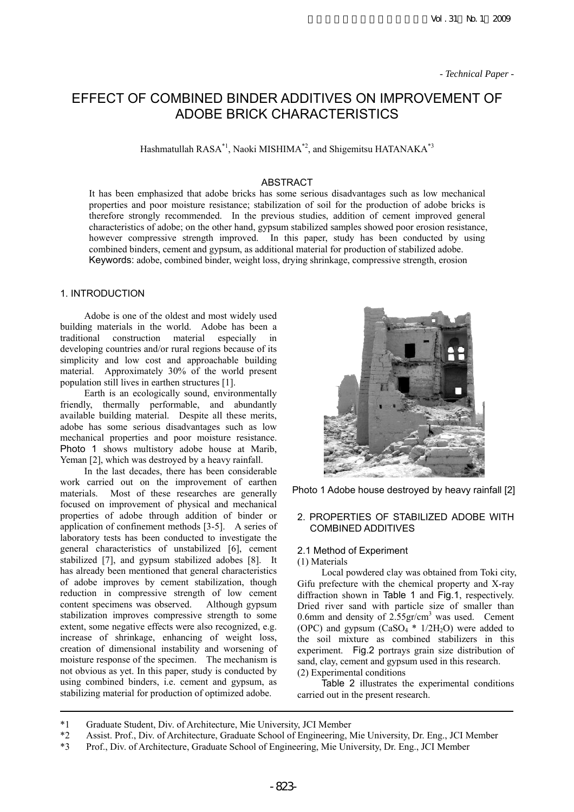# EFFECT OF COMBINED BINDER ADDITIVES ON IMPROVEMENT OF ADOBE BRICK CHARACTERISTICS

Hashmatullah RASA\*1, Naoki MISHIMA\*2, and Shigemitsu HATANAKA\*3

#### ABSTRACT

It has been emphasized that adobe bricks has some serious disadvantages such as low mechanical properties and poor moisture resistance; stabilization of soil for the production of adobe bricks is therefore strongly recommended. In the previous studies, addition of cement improved general characteristics of adobe; on the other hand, gypsum stabilized samples showed poor erosion resistance, however compressive strength improved. In this paper, study has been conducted by using combined binders, cement and gypsum, as additional material for production of stabilized adobe. Keywords: adobe, combined binder, weight loss, drying shrinkage, compressive strength, erosion

# 1. INTRODUCTION

Adobe is one of the oldest and most widely used building materials in the world. Adobe has been a traditional construction material especially in developing countries and/or rural regions because of its simplicity and low cost and approachable building material. Approximately 30% of the world present population still lives in earthen structures [1].

Earth is an ecologically sound, environmentally friendly, thermally performable, and abundantly available building material. Despite all these merits, adobe has some serious disadvantages such as low mechanical properties and poor moisture resistance. Photo 1 shows multistory adobe house at Marib, Yeman [2], which was destroyed by a heavy rainfall.

In the last decades, there has been considerable work carried out on the improvement of earthen materials. Most of these researches are generally focused on improvement of physical and mechanical properties of adobe through addition of binder or application of confinement methods [3-5]. A series of laboratory tests has been conducted to investigate the general characteristics of unstabilized [6], cement stabilized [7], and gypsum stabilized adobes [8]. It has already been mentioned that general characteristics of adobe improves by cement stabilization, though reduction in compressive strength of low cement content specimens was observed. Although gypsum stabilization improves compressive strength to some extent, some negative effects were also recognized, e.g. increase of shrinkage, enhancing of weight loss, creation of dimensional instability and worsening of moisture response of the specimen. The mechanism is not obvious as yet. In this paper, study is conducted by using combined binders, i.e. cement and gypsum, as stabilizing material for production of optimized adobe.



Photo 1 Adobe house destroyed by heavy rainfall [2]

#### 2. PROPERTIES OF STABILIZED ADOBE WITH COMBINED ADDITIVES

# 2.1 Method of Experiment

#### (1) Materials

Local powdered clay was obtained from Toki city, Gifu prefecture with the chemical property and X-ray diffraction shown in Table 1 and Fig.1, respectively. Dried river sand with particle size of smaller than 0.6mm and density of  $2.55 \text{gr/cm}^3$  was used. Cement (OPC) and gypsum  $(CaSO<sub>4</sub><sup>*</sup> 1/2H<sub>2</sub>O)$  were added to the soil mixture as combined stabilizers in this experiment. Fig.2 portrays grain size distribution of sand, clay, cement and gypsum used in this research. (2) Experimental conditions

Table 2 illustrates the experimental conditions carried out in the present research.

- \*1 Graduate Student, Div. of Architecture, Mie University, JCI Member
- \*2 Assist. Prof., Div. of Architecture, Graduate School of Engineering, Mie University, Dr. Eng., JCI Member
- \*3 Prof., Div. of Architecture, Graduate School of Engineering, Mie University, Dr. Eng., JCI Member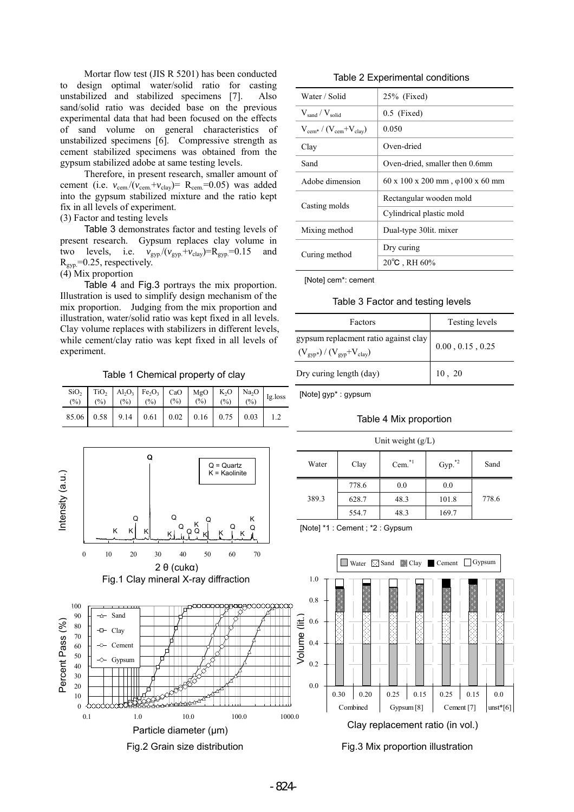Mortar flow test (JIS R 5201) has been conducted to design optimal water/solid ratio for casting unstabilized and stabilized specimens [7]. Also sand/solid ratio was decided base on the previous experimental data that had been focused on the effects of sand volume on general characteristics of unstabilized specimens [6]. Compressive strength as cement stabilized specimens was obtained from the gypsum stabilized adobe at same testing levels.

Therefore, in present research, smaller amount of cement (i.e.  $v_{\text{cem}}/(v_{\text{cem}}+v_{\text{clay}})=$  R<sub>cem</sub>=0.05) was added into the gypsum stabilized mixture and the ratio kept fix in all levels of experiment.

(3) Factor and testing levels

Table 3 demonstrates factor and testing levels of present research. Gypsum replaces clay volume in two levels, i.e.  $v_{\text{gyp}}/(v_{\text{gyp}}+v_{\text{clay}})=R_{\text{gyp}}=0.15$  and  $R_{\text{gyp}}$ =0.25, respectively.

(4) Mix proportion

Table 4 and Fig.3 portrays the mix proportion. Illustration is used to simplify design mechanism of the mix proportion. Judging from the mix proportion and illustration, water/solid ratio was kept fixed in all levels. Clay volume replaces with stabilizers in different levels, while cement/clay ratio was kept fixed in all levels of experiment.

Table 1 Chemical property of clay

|  | $85.06$ 0.58 9.14 0.61 0.02 0.16 0.75 0.03 1.2 |  |  |  |
|--|------------------------------------------------|--|--|--|



Fig.2 Grain size distribution

Table 2 Experimental conditions

| Water / Solid                                          | $25%$ (Fixed)                                        |  |  |
|--------------------------------------------------------|------------------------------------------------------|--|--|
| $V_{\text{sand}} / V_{\text{solid}}$                   | $0.5$ (Fixed)                                        |  |  |
| $V_{\text{cem}*} / (V_{\text{cem}} + V_{\text{clay}})$ | 0.050                                                |  |  |
| Clay                                                   | Oven-dried                                           |  |  |
| Sand                                                   | Oven-dried, smaller then 0.6mm                       |  |  |
| Adobe dimension                                        | $60 \times 100 \times 200$ mm, $\varphi$ 100 x 60 mm |  |  |
|                                                        | Rectangular wooden mold                              |  |  |
| Casting molds                                          | Cylindrical plastic mold                             |  |  |
| Mixing method                                          | Dual-type 30lit. mixer                               |  |  |
|                                                        | Dry curing                                           |  |  |
| Curing method                                          | $20^{\circ}$ C, RH 60%                               |  |  |

[Note] cem\*: cement

Table 3 Factor and testing levels

| Factors                                                                                          | Testing levels             |
|--------------------------------------------------------------------------------------------------|----------------------------|
| gypsum replacment ratio against clay<br>$(V_{\text{gyp}*}) / (V_{\text{gyp}} + V_{\text{clay}})$ | $0.00$ , $0.15$ , $0.25\,$ |
| Dry curing length (day)                                                                          | 10, 20                     |

[Note] gyp\* : gypsum

#### Table 4 Mix proportion

| Unit weight $(g/L)$ |       |          |             |       |  |  |  |  |
|---------------------|-------|----------|-------------|-------|--|--|--|--|
| Water               | Clay  | $Cem.*1$ | $Gyp.^{*2}$ | Sand  |  |  |  |  |
|                     | 778.6 | 0.0      | 0.0         |       |  |  |  |  |
| 389.3               | 628.7 | 48.3     | 101.8       | 778.6 |  |  |  |  |
|                     | 554.7 | 48.3     | 169.7       |       |  |  |  |  |

[Note] \*1 : Cement ; \*2 : Gypsum



Fig.3 Mix proportion illustration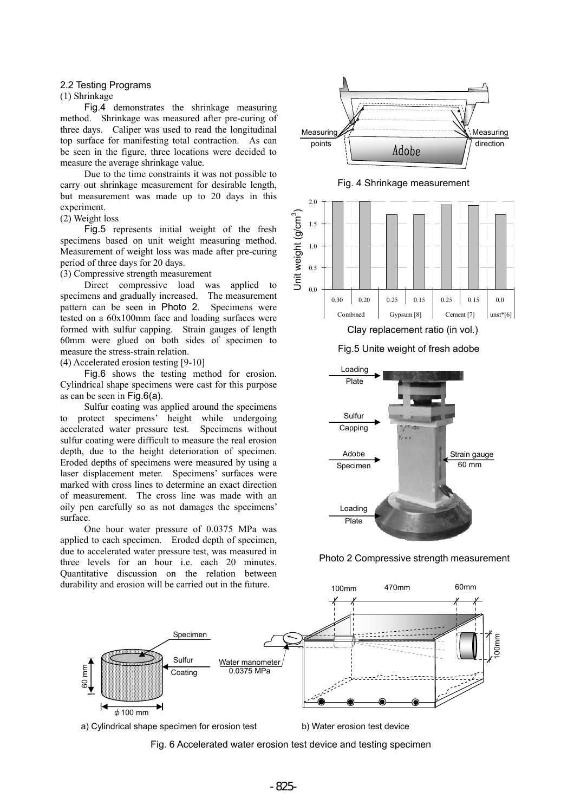# 2.2 Testing Programs

#### (1) Shrinkage

Fig.4 demonstrates the shrinkage measuring method. Shrinkage was measured after pre-curing of three days. Caliper was used to read the longitudinal top surface for manifesting total contraction. As can be seen in the figure, three locations were decided to measure the average shrinkage value.

Due to the time constraints it was not possible to carry out shrinkage measurement for desirable length, but measurement was made up to 20 days in this experiment.

## (2) Weight loss

Fig.5 represents initial weight of the fresh specimens based on unit weight measuring method. Measurement of weight loss was made after pre-curing period of three days for 20 days.

(3) Compressive strength measurement

Direct compressive load was applied to specimens and gradually increased. The measurement pattern can be seen in Photo 2. Specimens were tested on a 60x100mm face and loading surfaces were formed with sulfur capping. Strain gauges of length 60mm were glued on both sides of specimen to measure the stress-strain relation.

(4) Accelerated erosion testing [9-10]

Fig.6 shows the testing method for erosion. Cylindrical shape specimens were cast for this purpose as can be seen in Fig.6(a).

Sulfur coating was applied around the specimens to protect specimens' height while undergoing accelerated water pressure test. Specimens without sulfur coating were difficult to measure the real erosion depth, due to the height deterioration of specimen. Eroded depths of specimens were measured by using a laser displacement meter. Specimens' surfaces were marked with cross lines to determine an exact direction of measurement. The cross line was made with an oily pen carefully so as not damages the specimens' surface.

One hour water pressure of 0.0375 MPa was applied to each specimen. Eroded depth of specimen, due to accelerated water pressure test, was measured in three levels for an hour i.e. each 20 minutes. Quantitative discussion on the relation between durability and erosion will be carried out in the future.



#### Fig.5 Unite weight of fresh adobe



#### Photo 2 Compressive strength measurement



# a) Cylindrical shape specimen for erosion test b) Water erosion test device

Fig. 6 Accelerated water erosion test device and testing specimen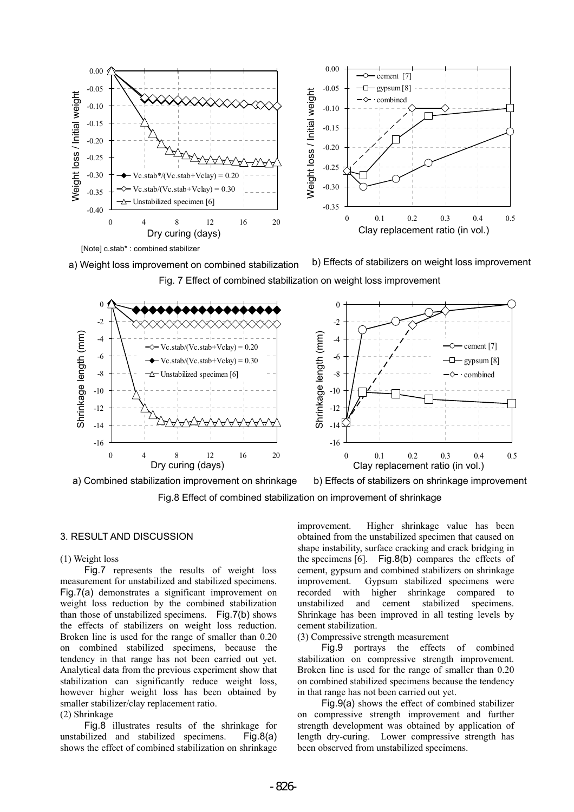

Fig. 7 Effect of combined stabilization on weight loss improvement



a) Combined stabilization improvement on shrinkage b) Effects of stabilizers on shrinkage improvement

Fig.8 Effect of combined stabilization on improvement of shrinkage

# 3. RESULT AND DISCUSSION

#### (1) Weight loss

Fig.7 represents the results of weight loss measurement for unstabilized and stabilized specimens. Fig.7(a) demonstrates a significant improvement on weight loss reduction by the combined stabilization than those of unstabilized specimens. Fig.7(b) shows the effects of stabilizers on weight loss reduction. Broken line is used for the range of smaller than 0.20 on combined stabilized specimens, because the tendency in that range has not been carried out yet. Analytical data from the previous experiment show that stabilization can significantly reduce weight loss, however higher weight loss has been obtained by smaller stabilizer/clay replacement ratio.

# (2) Shrinkage

Fig.8 illustrates results of the shrinkage for unstabilized and stabilized specimens. Fig.8(a) shows the effect of combined stabilization on shrinkage improvement. Higher shrinkage value has been obtained from the unstabilized specimen that caused on shape instability, surface cracking and crack bridging in the specimens [6]. Fig.8(b) compares the effects of cement, gypsum and combined stabilizers on shrinkage improvement. Gypsum stabilized specimens were recorded with higher shrinkage compared to unstabilized and cement stabilized specimens. Shrinkage has been improved in all testing levels by cement stabilization.

#### (3) Compressive strength measurement

Fig.9 portrays the effects of combined stabilization on compressive strength improvement. Broken line is used for the range of smaller than 0.20 on combined stabilized specimens because the tendency in that range has not been carried out yet.

Fig.9(a) shows the effect of combined stabilizer on compressive strength improvement and further strength development was obtained by application of length dry-curing. Lower compressive strength has been observed from unstabilized specimens.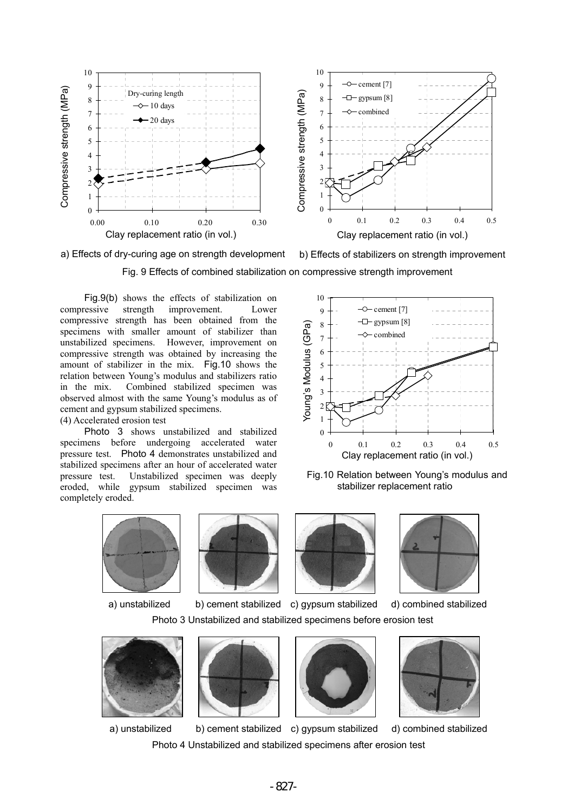



Fig. 9 Effects of combined stabilization on compressive strength improvement

Fig.9(b) shows the effects of stabilization on compressive strength improvement. Lower compressive strength has been obtained from the specimens with smaller amount of stabilizer than unstabilized specimens. However, improvement on compressive strength was obtained by increasing the amount of stabilizer in the mix. Fig.10 shows the relation between Young's modulus and stabilizers ratio in the mix. Combined stabilized specimen was observed almost with the same Young's modulus as of cement and gypsum stabilized specimens. (4) Accelerated erosion test

Photo 3 shows unstabilized and stabilized specimens before undergoing accelerated water pressure test. Photo 4 demonstrates unstabilized and stabilized specimens after an hour of accelerated water pressure test. Unstabilized specimen was deeply eroded, while gypsum stabilized specimen was completely eroded.



Fig.10 Relation between Young's modulus and stabilizer replacement ratio





a) unstabilized b) cement stabilized c) gypsum stabilized d) combined stabilized





Photo 3 Unstabilized and stabilized specimens before erosion test







a) unstabilized b) cement stabilized c) gypsum stabilized d) combined stabilized



Photo 4 Unstabilized and stabilized specimens after erosion test